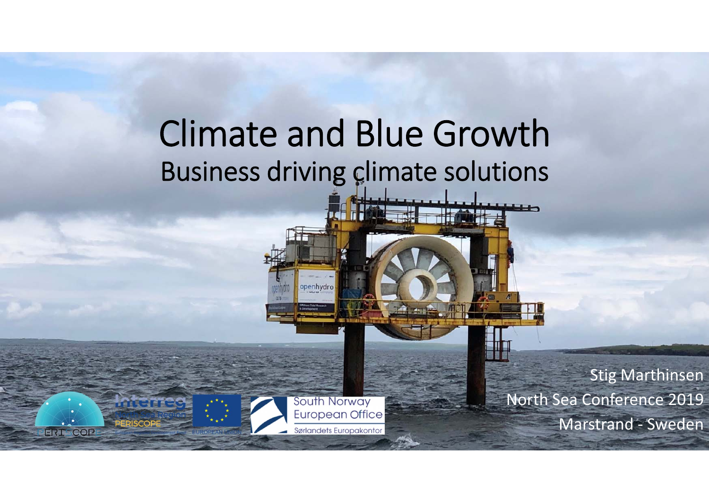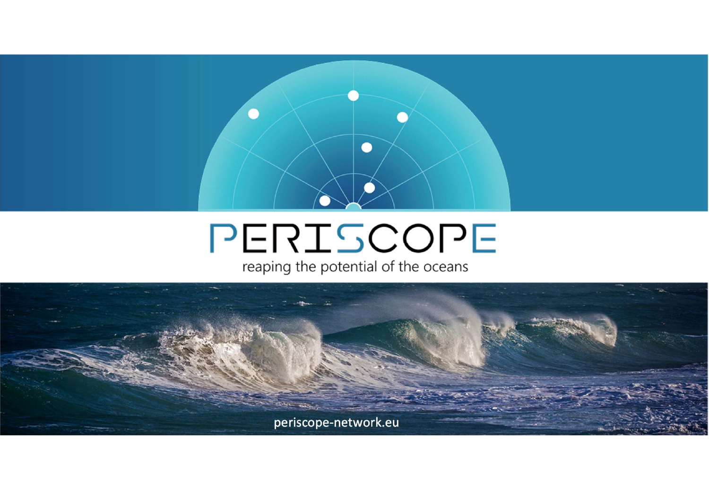## PERISCOPE

 $\bullet$ 

reaping the potential of the oceans

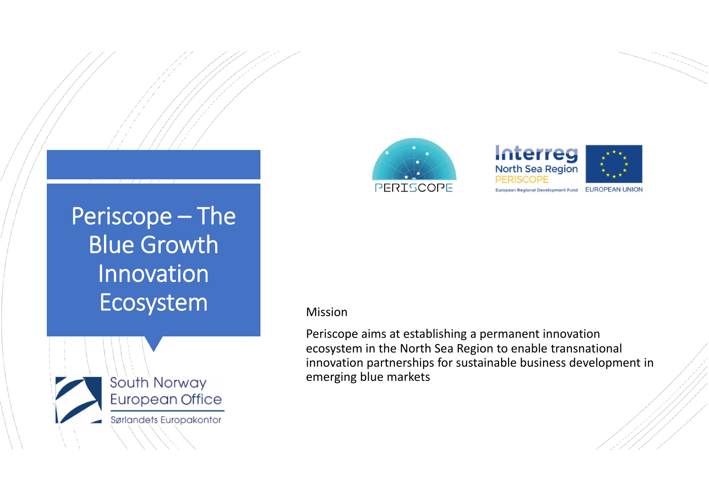### Periscope – The Blue Growth Innovation Ecosystem Mission







Periscope aims at establishing <sup>a</sup> permanent innovation ecosystem in the North Sea Region to enable transnational innovation partnerships for sustainable business development in emerging blue markets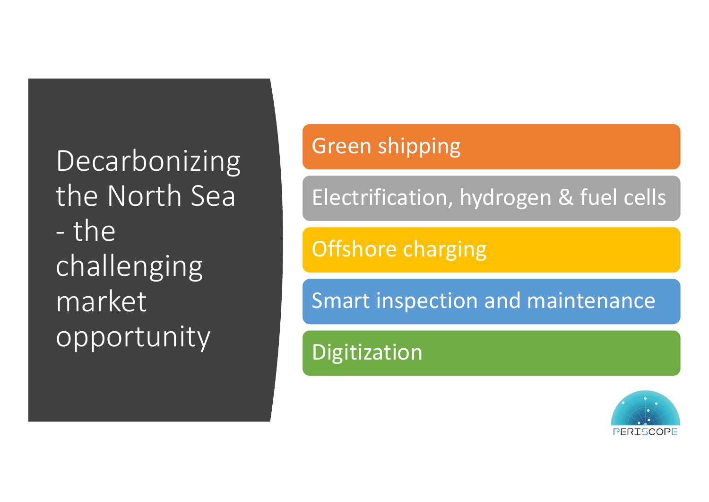**Decarbonizing** the North Sea ‐- the challenging marketopportunity

### Green shipping

Electrification, hydrogen & fuel cells

Offshore charging

Smart inspection and maintenance

Digitization

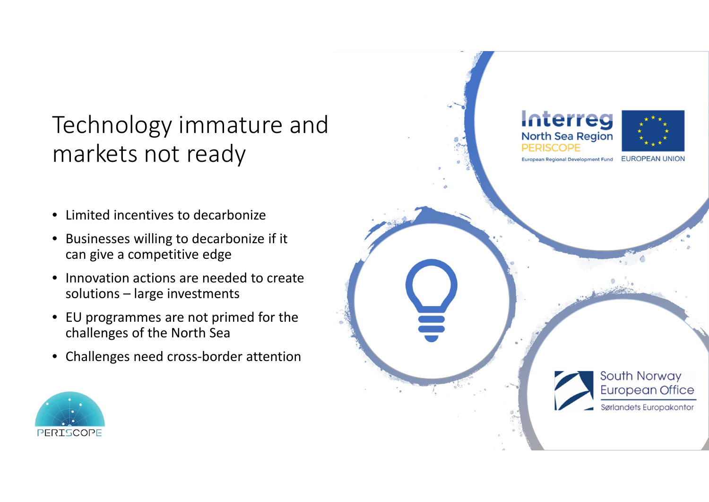### Technology immature and markets not ready

- $\bullet$ **•** Limited incentives to decarbonize
- Businesses willing to decarbonize if it can give <sup>a</sup> competitive edge
- •**•** Innovation actions are needed to create solutions – large investments
- EU programmes are not primed for the challenges of the North Sea
- $\bullet$ Challenges need cross‐border attention



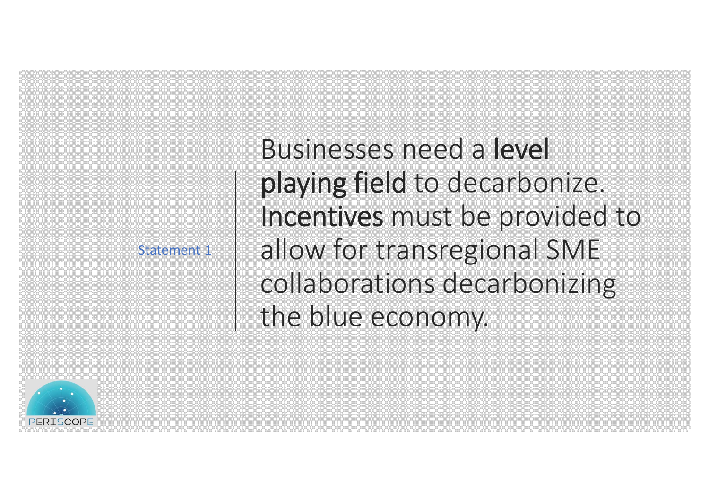Statement 1

Businesses need <sup>a</sup> level playing field to decarbonize. Incentives must be provided to allow for transregional SME collaborations decarbonizing the blue economy.

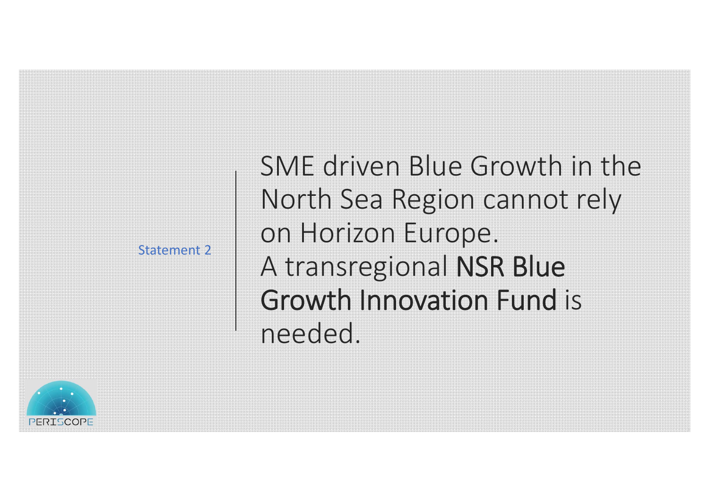Statement 2

SME driven Blue Growth in the North Sea Region cannot rely on Horizon Europe. A transregional NSR Blue Growth Innovation Fund isneeded.

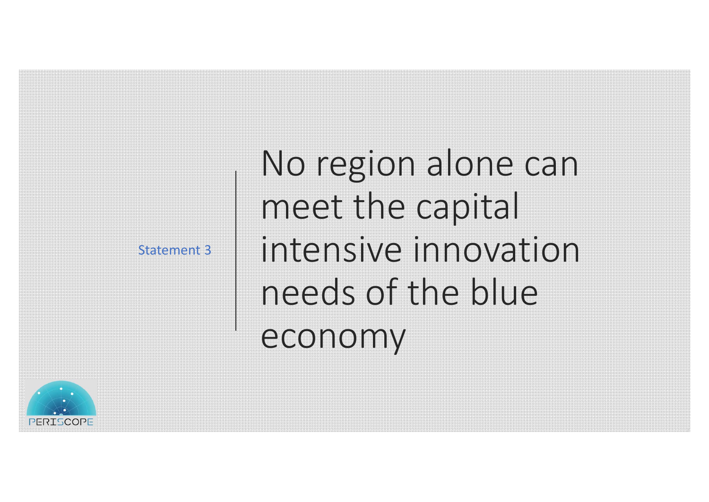Statement 3

No region alone can meet the capital intensive innovation needs of the blue economy